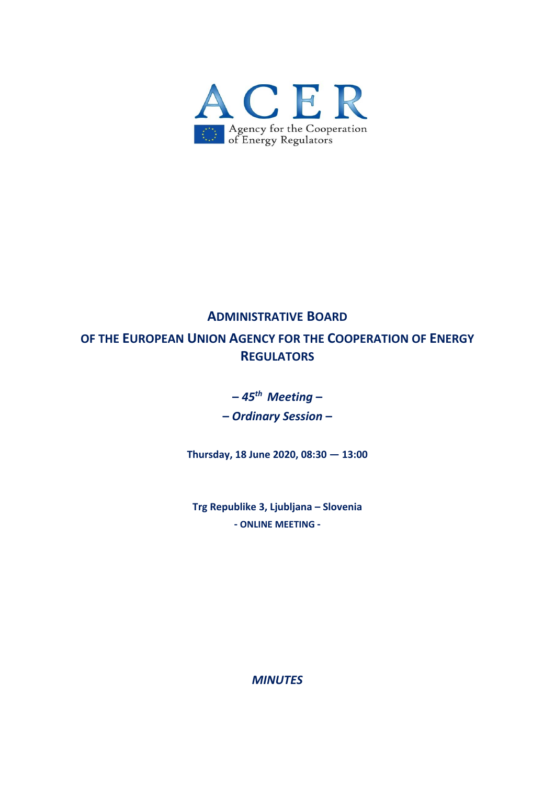

# **ADMINISTRATIVE BOARD OF THE EUROPEAN UNION AGENCY FOR THE COOPERATION OF ENERGY REGULATORS**

**–** *45th Meeting* **–** 

**–** *Ordinary Session* **–** 

**Thursday, 18 June 2020, 08:30 — 13:00** 

**Trg Republike 3, Ljubljana – Slovenia ‐ ONLINE MEETING ‐** 

*MINUTES*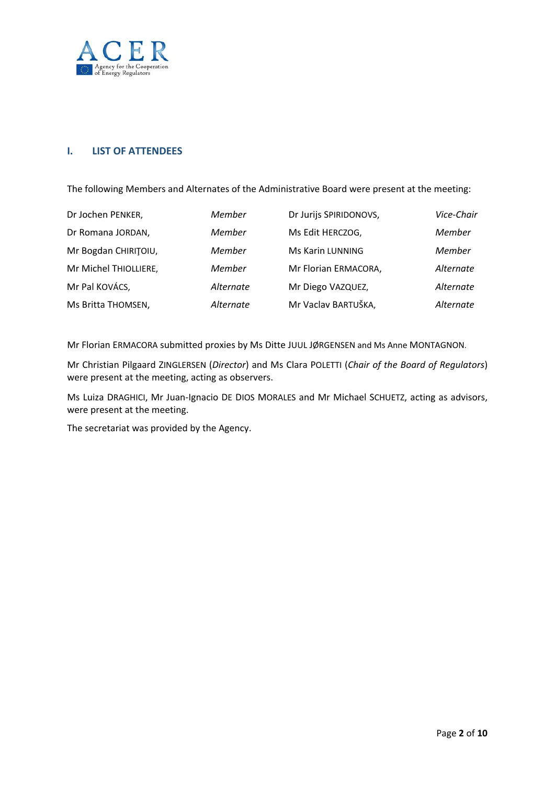

## **I. LIST OF ATTENDEES**

The following Members and Alternates of the Administrative Board were present at the meeting:

| Dr Jochen PENKER,     | Member    | Dr Jurijs SPIRIDONOVS, | Vice-Chair |
|-----------------------|-----------|------------------------|------------|
| Dr Romana JORDAN,     | Member    | Ms Edit HERCZOG,       | Member     |
| Mr Bogdan CHIRITOIU,  | Member    | Ms Karin LUNNING       | Member     |
| Mr Michel THIOLLIERE, | Member    | Mr Florian ERMACORA,   | Alternate  |
| Mr Pal KOVÁCS,        | Alternate | Mr Diego VAZQUEZ,      | Alternate  |
| Ms Britta THOMSEN,    | Alternate | Mr Vaclav BARTUŠKA,    | Alternate  |

Mr Florian ERMACORA submitted proxies by Ms Ditte JUUL JØRGENSEN and Ms Anne MONTAGNON.

Mr Christian Pilgaard ZINGLERSEN (*Director*) and Ms Clara POLETTI (*Chair of the Board of Regulators*) were present at the meeting, acting as observers.

Ms Luiza DRAGHICI, Mr Juan‐Ignacio DE DIOS MORALES and Mr Michael SCHUETZ, acting as advisors, were present at the meeting.

The secretariat was provided by the Agency.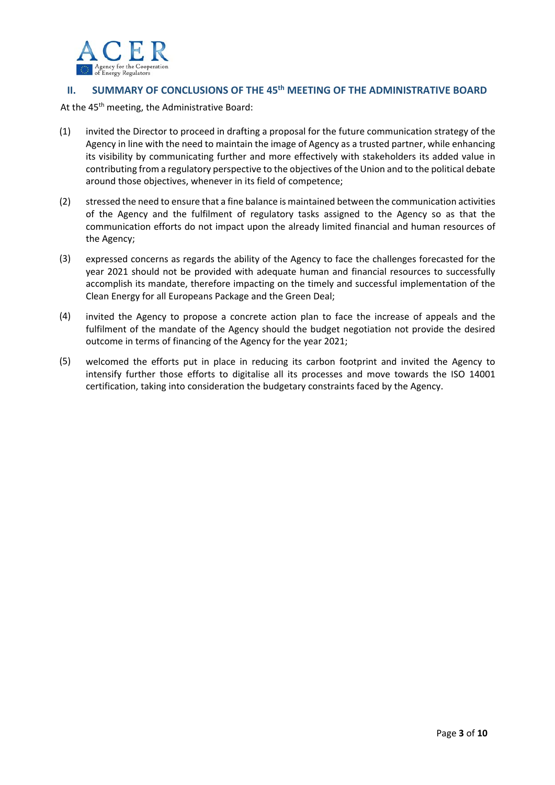

# **II. SUMMARY OF CONCLUSIONS OF THE 45th MEETING OF THE ADMINISTRATIVE BOARD**

At the 45<sup>th</sup> meeting, the Administrative Board:

- (1) invited the Director to proceed in drafting a proposal for the future communication strategy of the Agency in line with the need to maintain the image of Agency as a trusted partner, while enhancing its visibility by communicating further and more effectively with stakeholders its added value in contributing from a regulatory perspective to the objectives of the Union and to the political debate around those objectives, whenever in its field of competence;
- (2) stressed the need to ensure that a fine balance is maintained between the communication activities of the Agency and the fulfilment of regulatory tasks assigned to the Agency so as that the communication efforts do not impact upon the already limited financial and human resources of the Agency;
- (3) expressed concerns as regards the ability of the Agency to face the challenges forecasted for the year 2021 should not be provided with adequate human and financial resources to successfully accomplish its mandate, therefore impacting on the timely and successful implementation of the Clean Energy for all Europeans Package and the Green Deal;
- (4) invited the Agency to propose a concrete action plan to face the increase of appeals and the fulfilment of the mandate of the Agency should the budget negotiation not provide the desired outcome in terms of financing of the Agency for the year 2021;
- (5) welcomed the efforts put in place in reducing its carbon footprint and invited the Agency to intensify further those efforts to digitalise all its processes and move towards the ISO 14001 certification, taking into consideration the budgetary constraints faced by the Agency.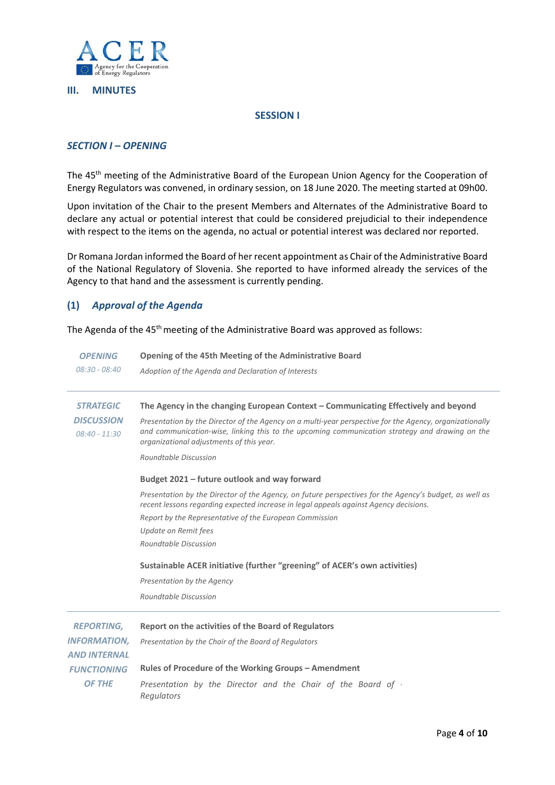

#### **III. MINUTES**

#### **SESSION I**

#### *SECTION I – OPENING*

The 45<sup>th</sup> meeting of the Administrative Board of the European Union Agency for the Cooperation of Energy Regulators was convened, in ordinary session, on 18 June 2020. The meeting started at 09h00.

Upon invitation of the Chair to the present Members and Alternates of the Administrative Board to declare any actual or potential interest that could be considered prejudicial to their independence with respect to the items on the agenda, no actual or potential interest was declared nor reported.

Dr Romana Jordan informed the Board of her recent appointment as Chair of the Administrative Board of the National Regulatory of Slovenia. She reported to have informed already the services of the Agency to that hand and the assessment is currently pending.

### **(1)** *Approval of the Agenda*

The Agenda of the 45<sup>th</sup> meeting of the Administrative Board was approved as follows:

| <b>OPENING</b>                                           | Opening of the 45th Meeting of the Administrative Board                                                                                                                                                                                                                                                                                                                                                                                                                                                                                                                                                                                                                                                                                                                                                                                                                 |
|----------------------------------------------------------|-------------------------------------------------------------------------------------------------------------------------------------------------------------------------------------------------------------------------------------------------------------------------------------------------------------------------------------------------------------------------------------------------------------------------------------------------------------------------------------------------------------------------------------------------------------------------------------------------------------------------------------------------------------------------------------------------------------------------------------------------------------------------------------------------------------------------------------------------------------------------|
| $08:30 - 08:40$                                          | Adoption of the Agenda and Declaration of Interests                                                                                                                                                                                                                                                                                                                                                                                                                                                                                                                                                                                                                                                                                                                                                                                                                     |
| <b>STRATEGIC</b><br><b>DISCUSSION</b><br>$08:40 - 11:30$ | The Agency in the changing European Context - Communicating Effectively and beyond<br>Presentation by the Director of the Agency on a multi-year perspective for the Agency, organizationally<br>and communication-wise, linking this to the upcoming communication strategy and drawing on the<br>organizational adjustments of this year.<br>Roundtable Discussion<br>Budget 2021 - future outlook and way forward<br>Presentation by the Director of the Agency, on future perspectives for the Agency's budget, as well as<br>recent lessons regarding expected increase in legal appeals against Agency decisions.<br>Report by the Representative of the European Commission<br>Update on Remit fees<br>Roundtable Discussion<br>Sustainable ACER initiative (further "greening" of ACER's own activities)<br>Presentation by the Agency<br>Roundtable Discussion |
| <b>REPORTING,</b>                                        | Report on the activities of the Board of Regulators                                                                                                                                                                                                                                                                                                                                                                                                                                                                                                                                                                                                                                                                                                                                                                                                                     |
| <b>INFORMATION,</b>                                      | Presentation by the Chair of the Board of Regulators                                                                                                                                                                                                                                                                                                                                                                                                                                                                                                                                                                                                                                                                                                                                                                                                                    |
| AND INTERNAL                                             | Rules of Procedure of the Working Groups - Amendment                                                                                                                                                                                                                                                                                                                                                                                                                                                                                                                                                                                                                                                                                                                                                                                                                    |
| <b>FUNCTIONING</b>                                       | Presentation by the Director and the Chair of the Board of -                                                                                                                                                                                                                                                                                                                                                                                                                                                                                                                                                                                                                                                                                                                                                                                                            |
| OF THE                                                   | Regulators                                                                                                                                                                                                                                                                                                                                                                                                                                                                                                                                                                                                                                                                                                                                                                                                                                                              |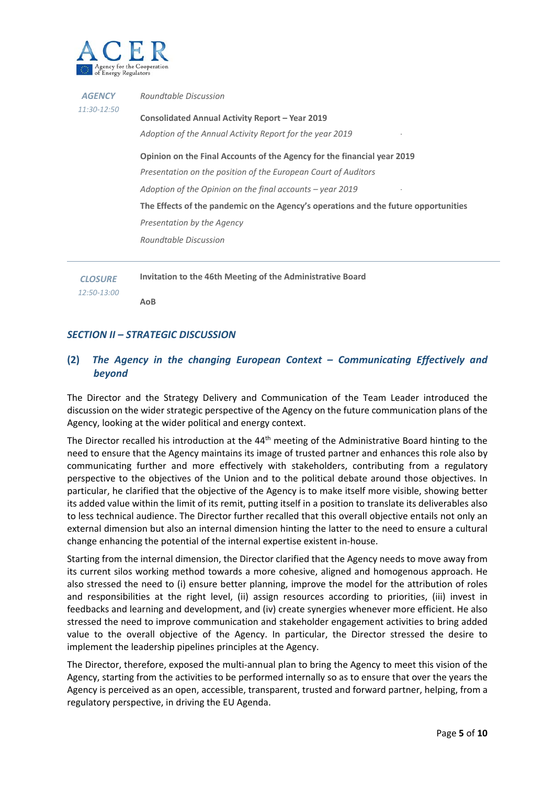

| <b>AGENCY</b><br>11:30-12:50 | Roundtable Discussion                                                                                       |
|------------------------------|-------------------------------------------------------------------------------------------------------------|
|                              | Consolidated Annual Activity Report – Year 2019<br>Adoption of the Annual Activity Report for the year 2019 |
|                              | Opinion on the Final Accounts of the Agency for the financial year 2019                                     |
|                              | Presentation on the position of the European Court of Auditors                                              |
|                              | Adoption of the Opinion on the final accounts – year 2019                                                   |
|                              | The Effects of the pandemic on the Agency's operations and the future opportunities                         |
|                              | Presentation by the Agency                                                                                  |
|                              | Roundtable Discussion                                                                                       |
|                              |                                                                                                             |
|                              |                                                                                                             |

**Invitation to the 46th Meeting of the Administrative Board** 

**AoB** 

*CLOSURE 12:50‐13:00*

## *SECTION II – STRATEGIC DISCUSSION*

# **(2)** *The Agency in the changing European Context – Communicating Effectively and beyond*

The Director and the Strategy Delivery and Communication of the Team Leader introduced the discussion on the wider strategic perspective of the Agency on the future communication plans of the Agency, looking at the wider political and energy context.

The Director recalled his introduction at the 44<sup>th</sup> meeting of the Administrative Board hinting to the need to ensure that the Agency maintains its image of trusted partner and enhances this role also by communicating further and more effectively with stakeholders, contributing from a regulatory perspective to the objectives of the Union and to the political debate around those objectives. In particular, he clarified that the objective of the Agency is to make itself more visible, showing better its added value within the limit of its remit, putting itself in a position to translate its deliverables also to less technical audience. The Director further recalled that this overall objective entails not only an external dimension but also an internal dimension hinting the latter to the need to ensure a cultural change enhancing the potential of the internal expertise existent in‐house.

Starting from the internal dimension, the Director clarified that the Agency needs to move away from its current silos working method towards a more cohesive, aligned and homogenous approach. He also stressed the need to (i) ensure better planning, improve the model for the attribution of roles and responsibilities at the right level, (ii) assign resources according to priorities, (iii) invest in feedbacks and learning and development, and (iv) create synergies whenever more efficient. He also stressed the need to improve communication and stakeholder engagement activities to bring added value to the overall objective of the Agency. In particular, the Director stressed the desire to implement the leadership pipelines principles at the Agency.

The Director, therefore, exposed the multi‐annual plan to bring the Agency to meet this vision of the Agency, starting from the activities to be performed internally so as to ensure that over the years the Agency is perceived as an open, accessible, transparent, trusted and forward partner, helping, from a regulatory perspective, in driving the EU Agenda.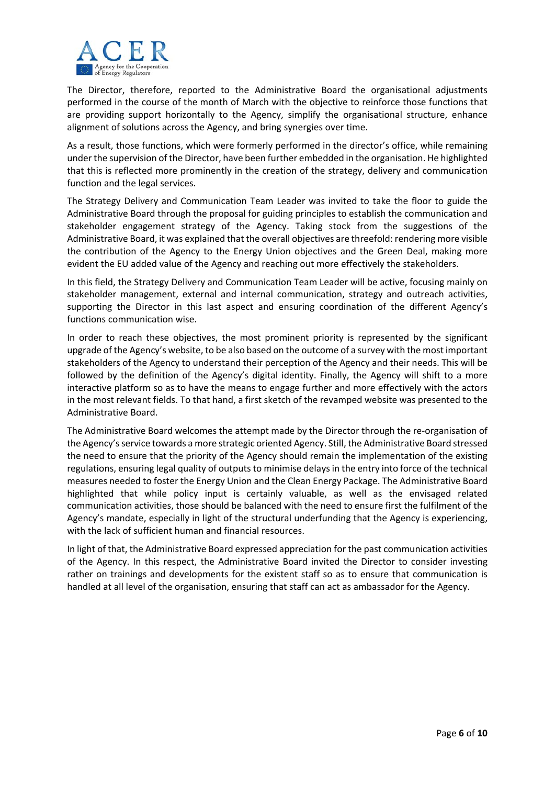

The Director, therefore, reported to the Administrative Board the organisational adjustments performed in the course of the month of March with the objective to reinforce those functions that are providing support horizontally to the Agency, simplify the organisational structure, enhance alignment of solutions across the Agency, and bring synergies over time.

As a result, those functions, which were formerly performed in the director's office, while remaining under the supervision of the Director, have been further embedded in the organisation. He highlighted that this is reflected more prominently in the creation of the strategy, delivery and communication function and the legal services.

The Strategy Delivery and Communication Team Leader was invited to take the floor to guide the Administrative Board through the proposal for guiding principles to establish the communication and stakeholder engagement strategy of the Agency. Taking stock from the suggestions of the Administrative Board, it was explained that the overall objectives are threefold: rendering more visible the contribution of the Agency to the Energy Union objectives and the Green Deal, making more evident the EU added value of the Agency and reaching out more effectively the stakeholders.

In this field, the Strategy Delivery and Communication Team Leader will be active, focusing mainly on stakeholder management, external and internal communication, strategy and outreach activities, supporting the Director in this last aspect and ensuring coordination of the different Agency's functions communication wise.

In order to reach these objectives, the most prominent priority is represented by the significant upgrade of the Agency's website, to be also based on the outcome of a survey with the most important stakeholders of the Agency to understand their perception of the Agency and their needs. This will be followed by the definition of the Agency's digital identity. Finally, the Agency will shift to a more interactive platform so as to have the means to engage further and more effectively with the actors in the most relevant fields. To that hand, a first sketch of the revamped website was presented to the Administrative Board.

The Administrative Board welcomes the attempt made by the Director through the re-organisation of the Agency's service towards a more strategic oriented Agency. Still, the Administrative Board stressed the need to ensure that the priority of the Agency should remain the implementation of the existing regulations, ensuring legal quality of outputs to minimise delays in the entry into force of the technical measures needed to foster the Energy Union and the Clean Energy Package. The Administrative Board highlighted that while policy input is certainly valuable, as well as the envisaged related communication activities, those should be balanced with the need to ensure first the fulfilment of the Agency's mandate, especially in light of the structural underfunding that the Agency is experiencing, with the lack of sufficient human and financial resources.

In light of that, the Administrative Board expressed appreciation for the past communication activities of the Agency. In this respect, the Administrative Board invited the Director to consider investing rather on trainings and developments for the existent staff so as to ensure that communication is handled at all level of the organisation, ensuring that staff can act as ambassador for the Agency.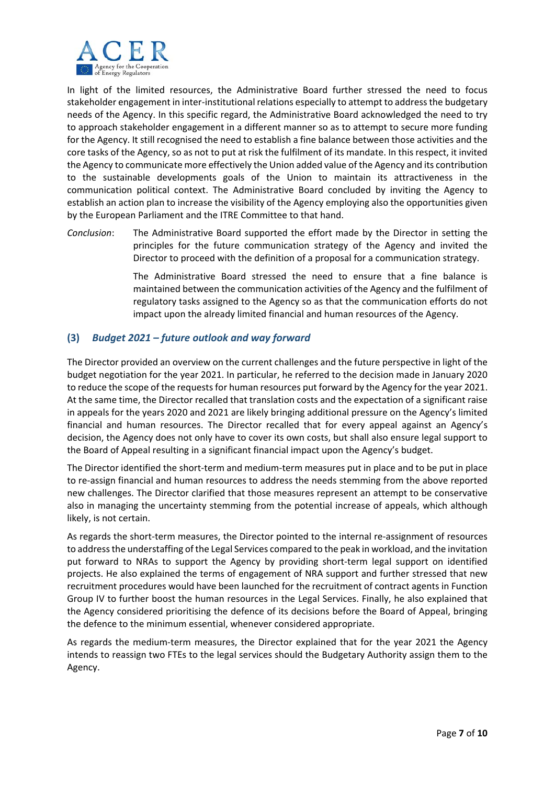

In light of the limited resources, the Administrative Board further stressed the need to focus stakeholder engagement in inter‐institutional relations especially to attempt to address the budgetary needs of the Agency. In this specific regard, the Administrative Board acknowledged the need to try to approach stakeholder engagement in a different manner so as to attempt to secure more funding for the Agency. It still recognised the need to establish a fine balance between those activities and the core tasks of the Agency, so as not to put at risk the fulfilment of its mandate. In this respect, it invited the Agency to communicate more effectively the Union added value of the Agency and its contribution to the sustainable developments goals of the Union to maintain its attractiveness in the communication political context. The Administrative Board concluded by inviting the Agency to establish an action plan to increase the visibility of the Agency employing also the opportunities given by the European Parliament and the ITRE Committee to that hand.

*Conclusion*: The Administrative Board supported the effort made by the Director in setting the principles for the future communication strategy of the Agency and invited the Director to proceed with the definition of a proposal for a communication strategy.

> The Administrative Board stressed the need to ensure that a fine balance is maintained between the communication activities of the Agency and the fulfilment of regulatory tasks assigned to the Agency so as that the communication efforts do not impact upon the already limited financial and human resources of the Agency.

# **(3)** *Budget 2021 – future outlook and way forward*

The Director provided an overview on the current challenges and the future perspective in light of the budget negotiation for the year 2021. In particular, he referred to the decision made in January 2020 to reduce the scope of the requests for human resources put forward by the Agency for the year 2021. At the same time, the Director recalled that translation costs and the expectation of a significant raise in appeals for the years 2020 and 2021 are likely bringing additional pressure on the Agency's limited financial and human resources. The Director recalled that for every appeal against an Agency's decision, the Agency does not only have to cover its own costs, but shall also ensure legal support to the Board of Appeal resulting in a significant financial impact upon the Agency's budget.

The Director identified the short‐term and medium‐term measures put in place and to be put in place to re‐assign financial and human resources to address the needs stemming from the above reported new challenges. The Director clarified that those measures represent an attempt to be conservative also in managing the uncertainty stemming from the potential increase of appeals, which although likely, is not certain.

As regards the short-term measures, the Director pointed to the internal re-assignment of resources to address the understaffing of the Legal Services compared to the peak in workload, and the invitation put forward to NRAs to support the Agency by providing short‐term legal support on identified projects. He also explained the terms of engagement of NRA support and further stressed that new recruitment procedures would have been launched for the recruitment of contract agents in Function Group IV to further boost the human resources in the Legal Services. Finally, he also explained that the Agency considered prioritising the defence of its decisions before the Board of Appeal, bringing the defence to the minimum essential, whenever considered appropriate.

As regards the medium-term measures, the Director explained that for the year 2021 the Agency intends to reassign two FTEs to the legal services should the Budgetary Authority assign them to the Agency.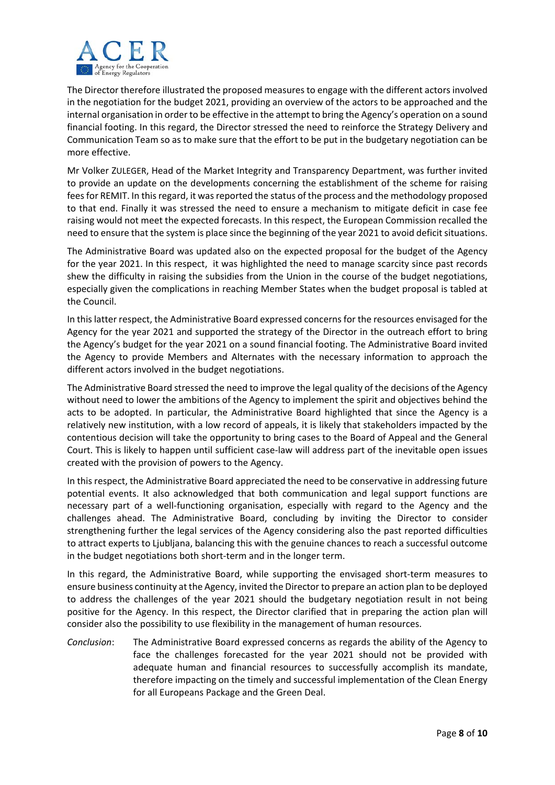

The Director therefore illustrated the proposed measures to engage with the different actors involved in the negotiation for the budget 2021, providing an overview of the actors to be approached and the internal organisation in order to be effective in the attempt to bring the Agency's operation on a sound financial footing. In this regard, the Director stressed the need to reinforce the Strategy Delivery and Communication Team so as to make sure that the effort to be put in the budgetary negotiation can be more effective.

Mr Volker ZULEGER, Head of the Market Integrity and Transparency Department, was further invited to provide an update on the developments concerning the establishment of the scheme for raising fees for REMIT. In this regard, it was reported the status of the process and the methodology proposed to that end. Finally it was stressed the need to ensure a mechanism to mitigate deficit in case fee raising would not meet the expected forecasts. In this respect, the European Commission recalled the need to ensure that the system is place since the beginning of the year 2021 to avoid deficit situations.

The Administrative Board was updated also on the expected proposal for the budget of the Agency for the year 2021. In this respect, it was highlighted the need to manage scarcity since past records shew the difficulty in raising the subsidies from the Union in the course of the budget negotiations, especially given the complications in reaching Member States when the budget proposal is tabled at the Council.

In this latter respect, the Administrative Board expressed concerns for the resources envisaged for the Agency for the year 2021 and supported the strategy of the Director in the outreach effort to bring the Agency's budget for the year 2021 on a sound financial footing. The Administrative Board invited the Agency to provide Members and Alternates with the necessary information to approach the different actors involved in the budget negotiations.

The Administrative Board stressed the need to improve the legal quality of the decisions of the Agency without need to lower the ambitions of the Agency to implement the spirit and objectives behind the acts to be adopted. In particular, the Administrative Board highlighted that since the Agency is a relatively new institution, with a low record of appeals, it is likely that stakeholders impacted by the contentious decision will take the opportunity to bring cases to the Board of Appeal and the General Court. This is likely to happen until sufficient case‐law will address part of the inevitable open issues created with the provision of powers to the Agency.

In this respect, the Administrative Board appreciated the need to be conservative in addressing future potential events. It also acknowledged that both communication and legal support functions are necessary part of a well-functioning organisation, especially with regard to the Agency and the challenges ahead. The Administrative Board, concluding by inviting the Director to consider strengthening further the legal services of the Agency considering also the past reported difficulties to attract experts to Ljubljana, balancing this with the genuine chances to reach a successful outcome in the budget negotiations both short‐term and in the longer term.

In this regard, the Administrative Board, while supporting the envisaged short-term measures to ensure business continuity at the Agency, invited the Director to prepare an action plan to be deployed to address the challenges of the year 2021 should the budgetary negotiation result in not being positive for the Agency. In this respect, the Director clarified that in preparing the action plan will consider also the possibility to use flexibility in the management of human resources.

*Conclusion*: The Administrative Board expressed concerns as regards the ability of the Agency to face the challenges forecasted for the year 2021 should not be provided with adequate human and financial resources to successfully accomplish its mandate, therefore impacting on the timely and successful implementation of the Clean Energy for all Europeans Package and the Green Deal.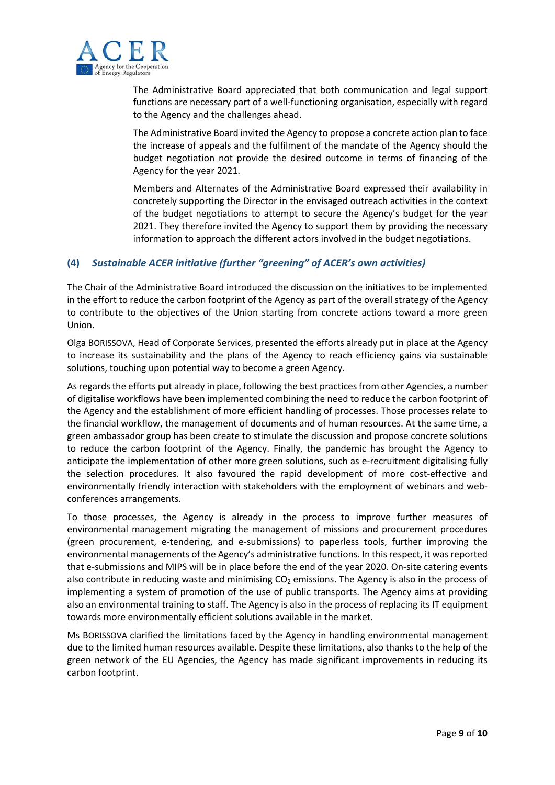

The Administrative Board appreciated that both communication and legal support functions are necessary part of a well-functioning organisation, especially with regard to the Agency and the challenges ahead.

The Administrative Board invited the Agency to propose a concrete action plan to face the increase of appeals and the fulfilment of the mandate of the Agency should the budget negotiation not provide the desired outcome in terms of financing of the Agency for the year 2021.

Members and Alternates of the Administrative Board expressed their availability in concretely supporting the Director in the envisaged outreach activities in the context of the budget negotiations to attempt to secure the Agency's budget for the year 2021. They therefore invited the Agency to support them by providing the necessary information to approach the different actors involved in the budget negotiations.

# **(4)** *Sustainable ACER initiative (further "greening" of ACER's own activities)*

The Chair of the Administrative Board introduced the discussion on the initiatives to be implemented in the effort to reduce the carbon footprint of the Agency as part of the overall strategy of the Agency to contribute to the objectives of the Union starting from concrete actions toward a more green Union.

Olga BORISSOVA, Head of Corporate Services, presented the efforts already put in place at the Agency to increase its sustainability and the plans of the Agency to reach efficiency gains via sustainable solutions, touching upon potential way to become a green Agency.

As regards the efforts put already in place, following the best practices from other Agencies, a number of digitalise workflows have been implemented combining the need to reduce the carbon footprint of the Agency and the establishment of more efficient handling of processes. Those processes relate to the financial workflow, the management of documents and of human resources. At the same time, a green ambassador group has been create to stimulate the discussion and propose concrete solutions to reduce the carbon footprint of the Agency. Finally, the pandemic has brought the Agency to anticipate the implementation of other more green solutions, such as e-recruitment digitalising fully the selection procedures. It also favoured the rapid development of more cost-effective and environmentally friendly interaction with stakeholders with the employment of webinars and webconferences arrangements.

To those processes, the Agency is already in the process to improve further measures of environmental management migrating the management of missions and procurement procedures (green procurement, e‐tendering, and e‐submissions) to paperless tools, further improving the environmental managements of the Agency's administrative functions. In this respect, it was reported that e‐submissions and MIPS will be in place before the end of the year 2020. On‐site catering events also contribute in reducing waste and minimising  $CO<sub>2</sub>$  emissions. The Agency is also in the process of implementing a system of promotion of the use of public transports. The Agency aims at providing also an environmental training to staff. The Agency is also in the process of replacing its IT equipment towards more environmentally efficient solutions available in the market.

Ms BORISSOVA clarified the limitations faced by the Agency in handling environmental management due to the limited human resources available. Despite these limitations, also thanks to the help of the green network of the EU Agencies, the Agency has made significant improvements in reducing its carbon footprint.